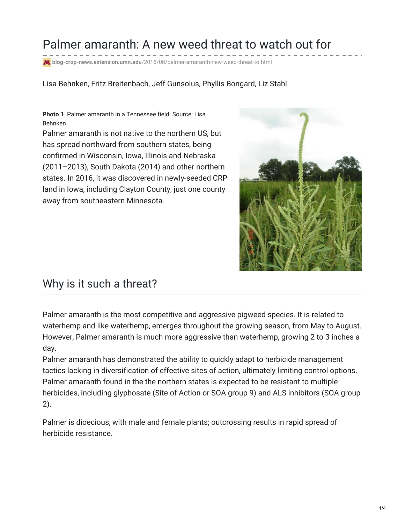### Palmer amaranth: A new weed threat to watch out for

**blog-crop-news.extension.umn.edu**[/2016/08/palmer-amaranth-new-weed-threat-to.html](http://blog-crop-news.extension.umn.edu/2016/08/palmer-amaranth-new-weed-threat-to.html)

Lisa Behnken, Fritz Breitenbach, Jeff Gunsolus, Phyllis Bongard, Liz Stahl

**Photo 1**. Palmer amaranth in a Tennessee field. Source: Lisa Behnken

Palmer amaranth is not native to the northern US, but has spread northward from southern states, being confirmed in Wisconsin, Iowa, Illinois and Nebraska (2011–2013), South Dakota (2014) and other northern states. In 2016, it was discovered in newly-seeded CRP land in Iowa, including Clayton County, just one county away from southeastern Minnesota.



#### Why is it such a threat?

Palmer amaranth is the most competitive and aggressive pigweed species. It is related to waterhemp and like waterhemp, emerges throughout the growing season, from May to August. However, Palmer amaranth is much more aggressive than waterhemp, growing 2 to 3 inches a day.

Palmer amaranth has demonstrated the ability to quickly adapt to herbicide management tactics lacking in diversification of effective sites of action, ultimately limiting control options. Palmer amaranth found in the the northern states is expected to be resistant to multiple herbicides, including glyphosate (Site of Action or SOA group 9) and ALS inhibitors (SOA group 2).

Palmer is dioecious, with male and female plants; outcrossing results in rapid spread of herbicide resistance.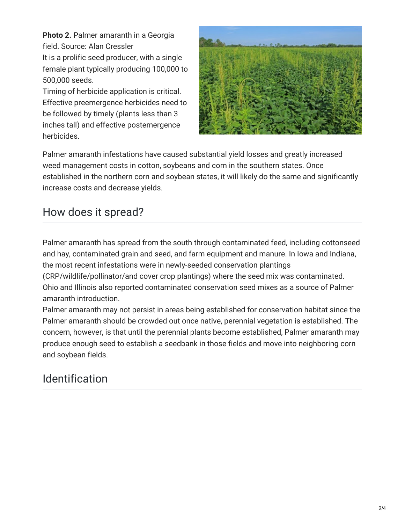**Photo 2.** Palmer amaranth in a Georgia field. Source: Alan Cressler

It is a prolific seed producer, with a single female plant typically producing 100,000 to 500,000 seeds.

Timing of herbicide application is critical. Effective preemergence herbicides need to be followed by timely (plants less than 3 inches tall) and effective postemergence herbicides.



Palmer amaranth infestations have caused substantial yield losses and greatly increased weed management costs in cotton, soybeans and corn in the southern states. Once established in the northern corn and soybean states, it will likely do the same and significantly increase costs and decrease yields.

#### How does it spread?

Palmer amaranth has spread from the south through contaminated feed, including cottonseed and hay, contaminated grain and seed, and farm equipment and manure. In Iowa and Indiana, the most recent infestations were in newly-seeded conservation plantings (CRP/wildlife/pollinator/and cover crop plantings) where the seed mix was contaminated.

Ohio and Illinois also reported contaminated conservation seed mixes as a source of Palmer amaranth introduction.

Palmer amaranth may not persist in areas being established for conservation habitat since the Palmer amaranth should be crowded out once native, perennial vegetation is established. The concern, however, is that until the perennial plants become established, Palmer amaranth may produce enough seed to establish a seedbank in those fields and move into neighboring corn and soybean fields.

# Identification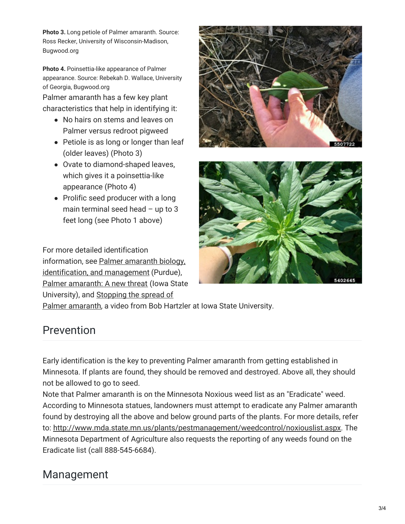**Photo 3.** Long petiole of Palmer amaranth. Source: Ross Recker, University of Wisconsin-Madison, Bugwood.org

**Photo 4.** Poinsettia-like appearance of Palmer appearance. Source: Rebekah D. Wallace, University of Georgia, Bugwood.org

Palmer amaranth has a few key plant characteristics that help in identifying it:

- No hairs on stems and leaves on Palmer versus redroot pigweed
- Petiole is as long or longer than leaf (older leaves) (Photo 3)
- Ovate to diamond-shaped leaves, which gives it a poinsettia-like appearance (Photo 4)
- Prolific seed producer with a long main terminal seed head – up to 3 feet long (see Photo 1 above)

For more detailed identification information, see Palmer amaranth biology, [identification,](https://www.extension.purdue.edu/extmedia/WS/WS-51-W.pdf) and management (Purdue), Palmer [amaranth:](http://www.weeds.iastate.edu/mgmt/2014/PalmerAmaranth_poster.pdf) A new threat (Iowa State [University\),](https://vimeo.com/178360206) and Stopping the spread of





Palmer amaranth, a video from Bob Hartzler at Iowa State University.

# Prevention

Early identification is the key to preventing Palmer amaranth from getting established in Minnesota. If plants are found, they should be removed and destroyed. Above all, they should not be allowed to go to seed.

Note that Palmer amaranth is on the Minnesota Noxious weed list as an "Eradicate" weed. According to Minnesota statues, landowners must attempt to eradicate any Palmer amaranth found by destroying all the above and below ground parts of the plants. For more details, refer to: <http://www.mda.state.mn.us/plants/pestmanagement/weedcontrol/noxiouslist.aspx>. The Minnesota Department of Agriculture also requests the reporting of any weeds found on the Eradicate list (call 888-545-6684).

### Management